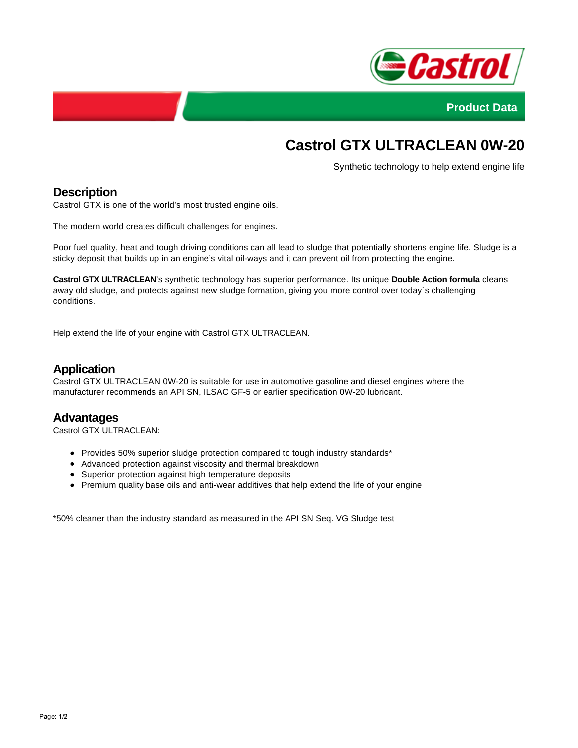



# **Castrol GTX ULTRACLEAN 0W-20**

Synthetic technology to help extend engine life

## **Description**

Castrol GTX is one of the world's most trusted engine oils.

The modern world creates difficult challenges for engines.

Poor fuel quality, heat and tough driving conditions can all lead to sludge that potentially shortens engine life. Sludge is a sticky deposit that builds up in an engine's vital oil-ways and it can prevent oil from protecting the engine.

**Castrol GTX ULTRACLEAN**'s synthetic technology has superior performance. Its unique **Double Action formula** cleans away old sludge, and protects against new sludge formation, giving you more control over today´s challenging conditions.

Help extend the life of your engine with Castrol GTX ULTRACLEAN.

#### **Application**

Castrol GTX ULTRACLEAN 0W-20 is suitable for use in automotive gasoline and diesel engines where the manufacturer recommends an API SN, ILSAC GF-5 or earlier specification 0W-20 lubricant.

#### **Advantages**

Castrol GTX ULTRACLEAN:

- Provides 50% superior sludge protection compared to tough industry standards\*
- Advanced protection against viscosity and thermal breakdown
- Superior protection against high temperature deposits
- Premium quality base oils and anti-wear additives that help extend the life of your engine

\*50% cleaner than the industry standard as measured in the API SN Seq. VG Sludge test